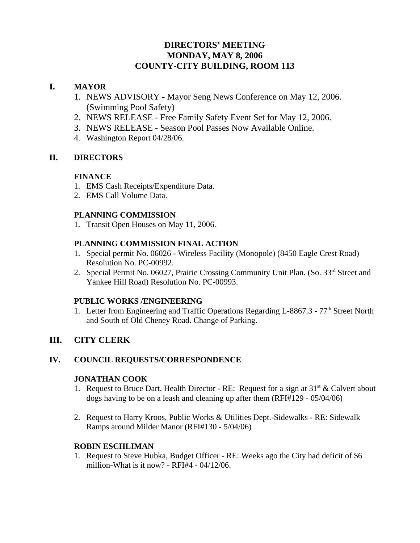# **DIRECTORS' MEETING MONDAY, MAY 8, 2006 COUNTY-CITY BUILDING, ROOM 113**

# **I. MAYOR**

- 1. NEWS ADVISORY Mayor Seng News Conference on May 12, 2006. (Swimming Pool Safety)
- 2. NEWS RELEASE Free Family Safety Event Set for May 12, 2006.
- 3. NEWS RELEASE Season Pool Passes Now Available Online.
- 4. Washington Report 04/28/06.

# **II. DIRECTORS**

# **FINANCE**

- 1. EMS Cash Receipts/Expenditure Data.
- 2. EMS Call Volume Data.

# **PLANNING COMMISSION**

1. Transit Open Houses on May 11, 2006.

# **PLANNING COMMISSION FINAL ACTION**

- 1. Special permit No. 06026 Wireless Facility (Monopole) (8450 Eagle Crest Road) Resolution No. PC-00992.
- 2. Special Permit No. 06027, Prairie Crossing Community Unit Plan. (So. 33<sup>rd</sup> Street and Yankee Hill Road) Resolution No. PC-00993.

# **PUBLIC WORKS /ENGINEERING**

1. Letter from Engineering and Traffic Operations Regarding L-8867.3 -  $77<sup>th</sup>$  Street North and South of Old Cheney Road. Change of Parking.

# **III. CITY CLERK**

# **IV. COUNCIL REQUESTS/CORRESPONDENCE**

# **JONATHAN COOK**

- 1. Request to Bruce Dart, Health Director RE: Request for a sign at  $31<sup>st</sup> \&$  Calvert about dogs having to be on a leash and cleaning up after them (RFI#129 - 05/04/06)
- 2. Request to Harry Kroos, Public Works & Utilities Dept.-Sidewalks RE: Sidewalk Ramps around Milder Manor (RFI#130 - 5/04/06)

# **ROBIN ESCHLIMAN**

1. Request to Steve Hubka, Budget Officer - RE: Weeks ago the City had deficit of \$6 million-What is it now? - RFI#4 - 04/12/06.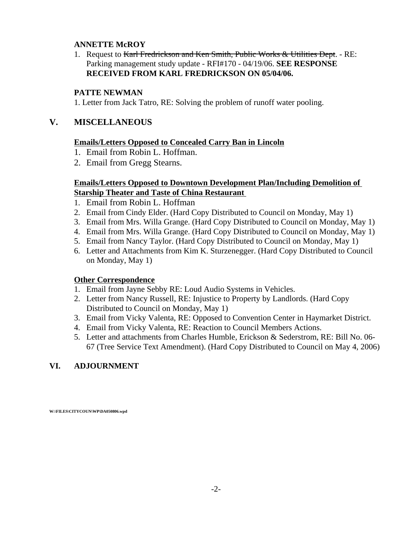### **ANNETTE McROY**

1. Request to Karl Fredrickson and Ken Smith, Public Works & Utilities Dept. - RE: Parking management study update - RFI#170 - 04/19/06. **SEE RESPONSE RECEIVED FROM KARL FREDRICKSON ON 05/04/06.**

#### **PATTE NEWMAN**

1. Letter from Jack Tatro, RE: Solving the problem of runoff water pooling.

# **V. MISCELLANEOUS**

### **Emails/Letters Opposed to Concealed Carry Ban in Lincoln**

- 1. Email from Robin L. Hoffman.
- 2. Email from Gregg Stearns.

# **Emails/Letters Opposed to Downtown Development Plan/Including Demolition of Starship Theater and Taste of China Restaurant**

- 1. Email from Robin L. Hoffman
- 2. Email from Cindy Elder. (Hard Copy Distributed to Council on Monday, May 1)
- 3. Email from Mrs. Willa Grange. (Hard Copy Distributed to Council on Monday, May 1)
- 4. Email from Mrs. Willa Grange. (Hard Copy Distributed to Council on Monday, May 1)
- 5. Email from Nancy Taylor. (Hard Copy Distributed to Council on Monday, May 1)
- 6. Letter and Attachments from Kim K. Sturzenegger. (Hard Copy Distributed to Council on Monday, May 1)

# **Other Correspondence**

- 1. Email from Jayne Sebby RE: Loud Audio Systems in Vehicles.
- 2. Letter from Nancy Russell, RE: Injustice to Property by Landlords. (Hard Copy Distributed to Council on Monday, May 1)
- 3. Email from Vicky Valenta, RE: Opposed to Convention Center in Haymarket District.
- 4. Email from Vicky Valenta, RE: Reaction to Council Members Actions.
- 5. Letter and attachments from Charles Humble, Erickson & Sederstrom, RE: Bill No. 06- 67 (Tree Service Text Amendment). (Hard Copy Distributed to Council on May 4, 2006)

# **VI. ADJOURNMENT**

**W:\FILES\CITYCOUN\WP\DA050806.wpd**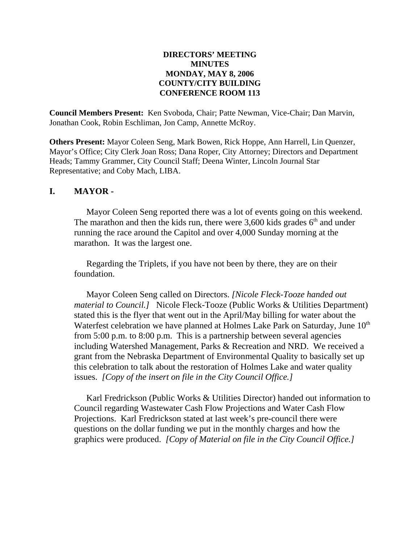# **DIRECTORS' MEETING MINUTES MONDAY, MAY 8, 2006 COUNTY/CITY BUILDING CONFERENCE ROOM 113**

**Council Members Present:** Ken Svoboda, Chair; Patte Newman, Vice-Chair; Dan Marvin, Jonathan Cook, Robin Eschliman, Jon Camp, Annette McRoy.

**Others Present:** Mayor Coleen Seng, Mark Bowen, Rick Hoppe, Ann Harrell, Lin Quenzer, Mayor's Office; City Clerk Joan Ross; Dana Roper, City Attorney; Directors and Department Heads; Tammy Grammer, City Council Staff; Deena Winter, Lincoln Journal Star Representative; and Coby Mach, LIBA.

# **I. MAYOR -**

Mayor Coleen Seng reported there was a lot of events going on this weekend. The marathon and then the kids run, there were  $3,600$  kids grades  $6<sup>th</sup>$  and under running the race around the Capitol and over 4,000 Sunday morning at the marathon. It was the largest one.

Regarding the Triplets, if you have not been by there, they are on their foundation.

Mayor Coleen Seng called on Directors. *[Nicole Fleck-Tooze handed out material to Council.]* Nicole Fleck-Tooze (Public Works & Utilities Department) stated this is the flyer that went out in the April/May billing for water about the Waterfest celebration we have planned at Holmes Lake Park on Saturday, June  $10<sup>th</sup>$ from 5:00 p.m. to 8:00 p.m. This is a partnership between several agencies including Watershed Management, Parks & Recreation and NRD. We received a grant from the Nebraska Department of Environmental Quality to basically set up this celebration to talk about the restoration of Holmes Lake and water quality issues. *[Copy of the insert on file in the City Council Office.]* 

Karl Fredrickson (Public Works & Utilities Director) handed out information to Council regarding Wastewater Cash Flow Projections and Water Cash Flow Projections. Karl Fredrickson stated at last week's pre-council there were questions on the dollar funding we put in the monthly charges and how the graphics were produced. *[Copy of Material on file in the City Council Office.]*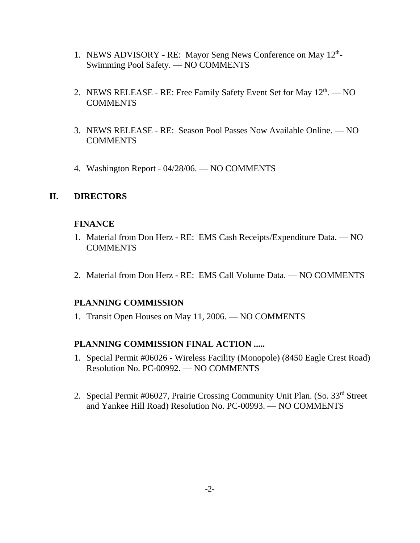- 1. NEWS ADVISORY RE: Mayor Seng News Conference on May 12<sup>th</sup>-Swimming Pool Safety. — NO COMMENTS
- 2. NEWS RELEASE RE: Free Family Safety Event Set for May  $12<sup>th</sup>$ .  $-$  NO **COMMENTS**
- 3. NEWS RELEASE RE: Season Pool Passes Now Available Online. NO COMMENTS
- 4. Washington Report 04/28/06. NO COMMENTS

# **II. DIRECTORS**

# **FINANCE**

- 1. Material from Don Herz RE: EMS Cash Receipts/Expenditure Data. NO COMMENTS
- 2. Material from Don Herz RE: EMS Call Volume Data. NO COMMENTS

# **PLANNING COMMISSION**

1. Transit Open Houses on May 11, 2006. — NO COMMENTS

# **PLANNING COMMISSION FINAL ACTION .....**

- 1. Special Permit #06026 Wireless Facility (Monopole) (8450 Eagle Crest Road) Resolution No. PC-00992. — NO COMMENTS
- 2. Special Permit #06027, Prairie Crossing Community Unit Plan. (So. 33rd Street) and Yankee Hill Road) Resolution No. PC-00993. — NO COMMENTS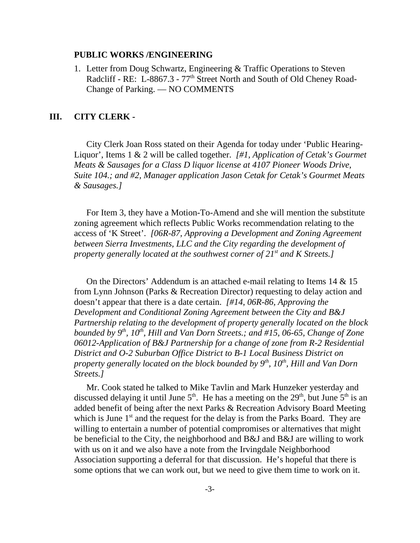#### **PUBLIC WORKS /ENGINEERING**

1. Letter from Doug Schwartz, Engineering & Traffic Operations to Steven Radcliff - RE: L-8867.3 - 77<sup>th</sup> Street North and South of Old Cheney Road-Change of Parking. — NO COMMENTS

### **III. CITY CLERK -**

City Clerk Joan Ross stated on their Agenda for today under 'Public Hearing-Liquor', Items 1 & 2 will be called together. *[#1, Application of Cetak's Gourmet Meats & Sausages for a Class D liquor license at 4107 Pioneer Woods Drive, Suite 104.; and #2, Manager application Jason Cetak for Cetak's Gourmet Meats & Sausages.]*

For Item 3, they have a Motion-To-Amend and she will mention the substitute zoning agreement which reflects Public Works recommendation relating to the access of 'K Street'. *[06R-87, Approving a Development and Zoning Agreement between Sierra Investments, LLC and the City regarding the development of property generally located at the southwest corner of 21st and K Streets.]*

On the Directors' Addendum is an attached e-mail relating to Items  $14 \& 15$ from Lynn Johnson (Parks & Recreation Director) requesting to delay action and doesn't appear that there is a date certain. *[#14, 06R-86, Approving the Development and Conditional Zoning Agreement between the City and B&J Partnership relating to the development of property generally located on the block bounded by 9<sup>th</sup>, 10<sup>th</sup>, Hill and Van Dorn Streets.; and #15, 06-65, Change of Zone 06012-Application of B&J Partnership for a change of zone from R-2 Residential District and O-2 Suburban Office District to B-1 Local Business District on property generally located on the block bounded by 9<sup>th</sup>, 10<sup>th</sup>, Hill and Van Dorn Streets.]* 

Mr. Cook stated he talked to Mike Tavlin and Mark Hunzeker yesterday and discussed delaying it until June  $5<sup>th</sup>$ . He has a meeting on the 29<sup>th</sup>, but June  $5<sup>th</sup>$  is an added benefit of being after the next Parks & Recreation Advisory Board Meeting which is June  $1<sup>st</sup>$  and the request for the delay is from the Parks Board. They are willing to entertain a number of potential compromises or alternatives that might be beneficial to the City, the neighborhood and B&J and B&J are willing to work with us on it and we also have a note from the Irvingdale Neighborhood Association supporting a deferral for that discussion. He's hopeful that there is some options that we can work out, but we need to give them time to work on it.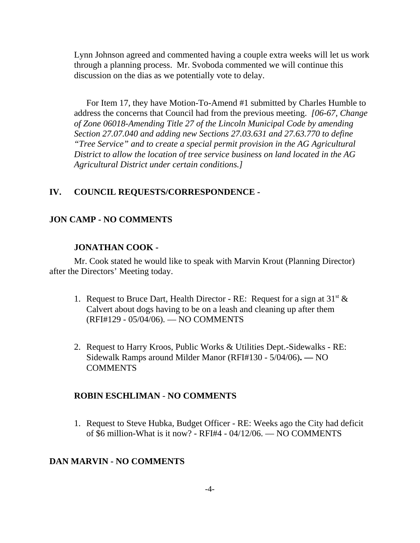Lynn Johnson agreed and commented having a couple extra weeks will let us work through a planning process. Mr. Svoboda commented we will continue this discussion on the dias as we potentially vote to delay.

For Item 17, they have Motion-To-Amend #1 submitted by Charles Humble to address the concerns that Council had from the previous meeting. *[06-67, Change of Zone 06018-Amending Title 27 of the Lincoln Municipal Code by amending Section 27.07.040 and adding new Sections 27.03.631 and 27.63.770 to define "Tree Service" and to create a special permit provision in the AG Agricultural District to allow the location of tree service business on land located in the AG Agricultural District under certain conditions.]*

### **IV. COUNCIL REQUESTS/CORRESPONDENCE -**

### **JON CAMP - NO COMMENTS**

#### **JONATHAN COOK -**

Mr. Cook stated he would like to speak with Marvin Krout (Planning Director) after the Directors' Meeting today.

- 1. Request to Bruce Dart, Health Director RE: Request for a sign at  $31<sup>st</sup>$  & Calvert about dogs having to be on a leash and cleaning up after them (RFI#129 - 05/04/06). — NO COMMENTS
- 2. Request to Harry Kroos, Public Works & Utilities Dept.-Sidewalks RE: Sidewalk Ramps around Milder Manor (RFI#130 - 5/04/06)**. —** NO COMMENTS

#### **ROBIN ESCHLIMAN** - **NO COMMENTS**

1. Request to Steve Hubka, Budget Officer - RE: Weeks ago the City had deficit of \$6 million-What is it now? - RFI#4 - 04/12/06. — NO COMMENTS

### **DAN MARVIN - NO COMMENTS**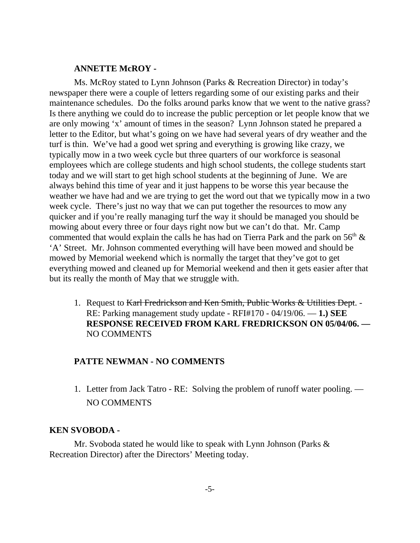#### **ANNETTE McROY -**

Ms. McRoy stated to Lynn Johnson (Parks & Recreation Director) in today's newspaper there were a couple of letters regarding some of our existing parks and their maintenance schedules. Do the folks around parks know that we went to the native grass? Is there anything we could do to increase the public perception or let people know that we are only mowing 'x' amount of times in the season? Lynn Johnson stated he prepared a letter to the Editor, but what's going on we have had several years of dry weather and the turf is thin. We've had a good wet spring and everything is growing like crazy, we typically mow in a two week cycle but three quarters of our workforce is seasonal employees which are college students and high school students, the college students start today and we will start to get high school students at the beginning of June. We are always behind this time of year and it just happens to be worse this year because the weather we have had and we are trying to get the word out that we typically mow in a two week cycle. There's just no way that we can put together the resources to mow any quicker and if you're really managing turf the way it should be managed you should be mowing about every three or four days right now but we can't do that. Mr. Camp commented that would explain the calls he has had on Tierra Park and the park on  $56<sup>th</sup>$  & 'A' Street. Mr. Johnson commented everything will have been mowed and should be mowed by Memorial weekend which is normally the target that they've got to get everything mowed and cleaned up for Memorial weekend and then it gets easier after that but its really the month of May that we struggle with.

1. Request to Karl Fredrickson and Ken Smith, Public Works & Utilities Dept. - RE: Parking management study update - RFI#170 - 04/19/06. — **1.) SEE RESPONSE RECEIVED FROM KARL FREDRICKSON ON 05/04/06. —** NO COMMENTS

# **PATTE NEWMAN - NO COMMENTS**

1. Letter from Jack Tatro - RE: Solving the problem of runoff water pooling. — NO COMMENTS

#### **KEN SVOBODA -**

Mr. Svoboda stated he would like to speak with Lynn Johnson (Parks & Recreation Director) after the Directors' Meeting today.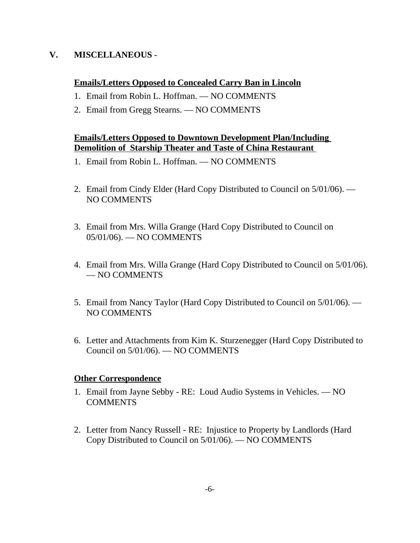# **V. MISCELLANEOUS** -

# **Emails/Letters Opposed to Concealed Carry Ban in Lincoln**

- 1. Email from Robin L. Hoffman. NO COMMENTS
- 2. Email from Gregg Stearns. NO COMMENTS

# **Emails/Letters Opposed to Downtown Development Plan/Including Demolition of Starship Theater and Taste of China Restaurant**

- 1. Email from Robin L. Hoffman. NO COMMENTS
- 2. Email from Cindy Elder (Hard Copy Distributed to Council on 5/01/06). NO COMMENTS
- 3. Email from Mrs. Willa Grange (Hard Copy Distributed to Council on 05/01/06). — NO COMMENTS
- 4. Email from Mrs. Willa Grange (Hard Copy Distributed to Council on 5/01/06). — NO COMMENTS
- 5. Email from Nancy Taylor (Hard Copy Distributed to Council on 5/01/06). NO COMMENTS
- 6. Letter and Attachments from Kim K. Sturzenegger (Hard Copy Distributed to Council on 5/01/06). — NO COMMENTS

# **Other Correspondence**

- 1. Email from Jayne Sebby RE: Loud Audio Systems in Vehicles. NO **COMMENTS**
- 2. Letter from Nancy Russell RE: Injustice to Property by Landlords (Hard Copy Distributed to Council on 5/01/06). — NO COMMENTS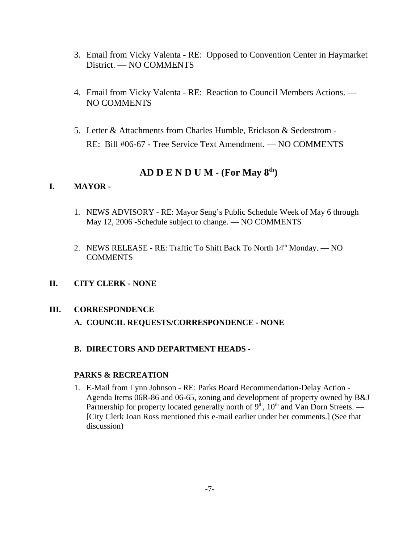- 3. Email from Vicky Valenta RE: Opposed to Convention Center in Haymarket District. — NO COMMENTS
- 4. Email from Vicky Valenta RE: Reaction to Council Members Actions. NO COMMENTS
- 5. Letter & Attachments from Charles Humble, Erickson & Sederstrom RE: Bill #06-67 - Tree Service Text Amendment. — NO COMMENTS

# **AD D E N D U M - (For May 8th)**

# **I. MAYOR -**

- 1. NEWS ADVISORY RE: Mayor Seng's Public Schedule Week of May 6 through May 12, 2006 -Schedule subject to change. — NO COMMENTS
- 2. NEWS RELEASE RE: Traffic To Shift Back To North 14<sup>th</sup> Monday. NO **COMMENTS**

# **II. CITY CLERK - NONE**

# **III. CORRESPONDENCE**

**A. COUNCIL REQUESTS/CORRESPONDENCE - NONE**

# **B. DIRECTORS AND DEPARTMENT HEADS -**

# **PARKS & RECREATION**

1. E-Mail from Lynn Johnson - RE: Parks Board Recommendation-Delay Action - Agenda Items 06R-86 and 06-65, zoning and development of property owned by B&J Partnership for property located generally north of  $9<sup>th</sup>$ ,  $10<sup>th</sup>$  and Van Dorn Streets. — [City Clerk Joan Ross mentioned this e-mail earlier under her comments.] (See that discussion)